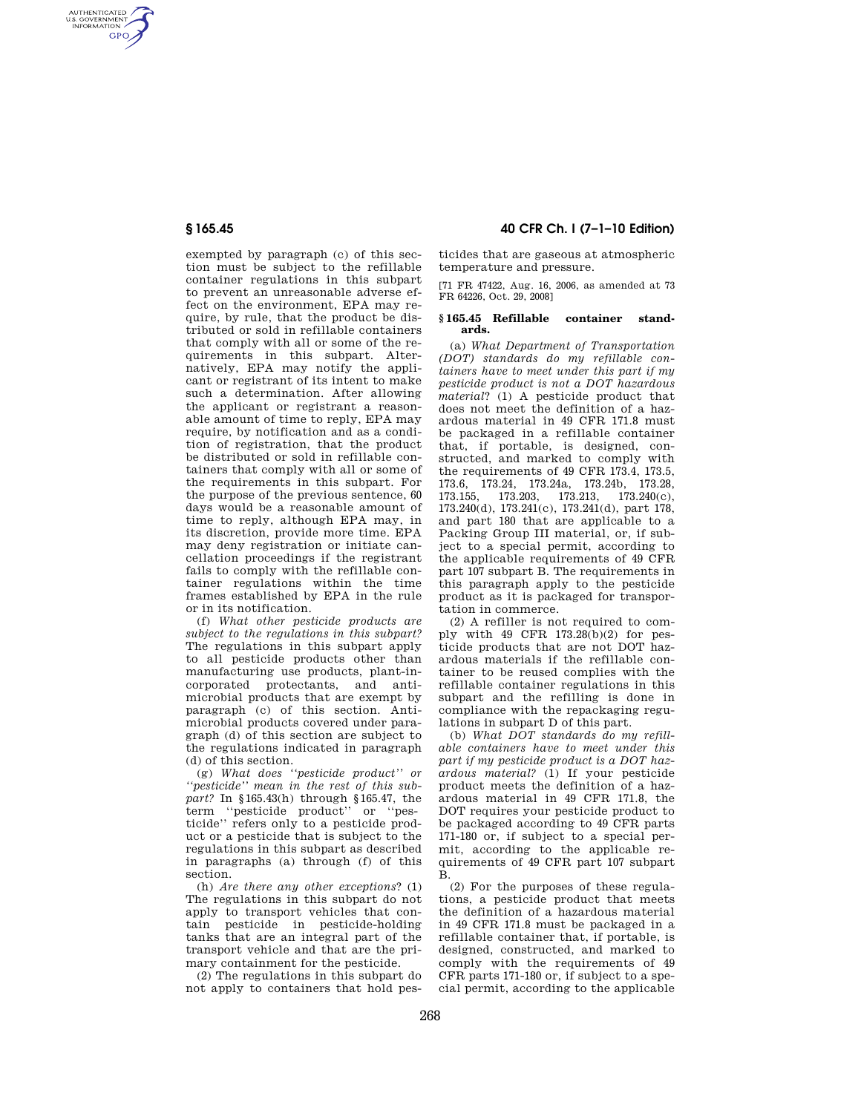AUTHENTICATED<br>U.S. GOVERNMENT<br>INFORMATION **GPO** 

> exempted by paragraph (c) of this section must be subject to the refillable container regulations in this subpart to prevent an unreasonable adverse effect on the environment, EPA may require, by rule, that the product be distributed or sold in refillable containers that comply with all or some of the requirements in this subpart. Alternatively, EPA may notify the applicant or registrant of its intent to make such a determination. After allowing the applicant or registrant a reasonable amount of time to reply, EPA may require, by notification and as a condition of registration, that the product be distributed or sold in refillable containers that comply with all or some of the requirements in this subpart. For the purpose of the previous sentence, 60 days would be a reasonable amount of time to reply, although EPA may, in its discretion, provide more time. EPA may deny registration or initiate cancellation proceedings if the registrant fails to comply with the refillable container regulations within the time frames established by EPA in the rule or in its notification.

> (f) *What other pesticide products are subject to the regulations in this subpart?*  The regulations in this subpart apply to all pesticide products other than manufacturing use products, plant-incorporated protectants, and antimicrobial products that are exempt by paragraph (c) of this section. Antimicrobial products covered under paragraph (d) of this section are subject to the regulations indicated in paragraph (d) of this section.

> (g) *What does ''pesticide product'' or ''pesticide'' mean in the rest of this subpart?* In §165.43(h) through §165.47, the term ''pesticide product'' or ''pesticide'' refers only to a pesticide product or a pesticide that is subject to the regulations in this subpart as described in paragraphs (a) through (f) of this section.

> (h) *Are there any other exceptions*? (1) The regulations in this subpart do not apply to transport vehicles that contain pesticide in pesticide-holding tanks that are an integral part of the transport vehicle and that are the primary containment for the pesticide.

(2) The regulations in this subpart do not apply to containers that hold pes-

**§ 165.45 40 CFR Ch. I (7–1–10 Edition)** 

ticides that are gaseous at atmospheric temperature and pressure.

[71 FR 47422, Aug. 16, 2006, as amended at 73 FR 64226, Oct. 29, 2008]

## **§ 165.45 Refillable container standards.**

(a) *What Department of Transportation (DOT) standards do my refillable containers have to meet under this part if my pesticide product is not a DOT hazardous material*? (1) A pesticide product that does not meet the definition of a hazardous material in 49 CFR 171.8 must be packaged in a refillable container that, if portable, is designed, constructed, and marked to comply with the requirements of 49 CFR 173.4, 173.5, 173.6, 173.24, 173.24a, 173.24b, 173.28, 173.155, 173.203, 173.213, 173.240(c), 173.240(d), 173.241(c), 173.241(d), part 178, and part 180 that are applicable to a Packing Group III material, or, if subject to a special permit, according to the applicable requirements of 49 CFR part 107 subpart B. The requirements in this paragraph apply to the pesticide product as it is packaged for transportation in commerce.

(2) A refiller is not required to comply with 49 CFR 173.28(b)(2) for pesticide products that are not DOT hazardous materials if the refillable container to be reused complies with the refillable container regulations in this subpart and the refilling is done in compliance with the repackaging regulations in subpart D of this part.

(b) *What DOT standards do my refillable containers have to meet under this part if my pesticide product is a DOT hazardous material?* (1) If your pesticide product meets the definition of a hazardous material in 49 CFR 171.8, the DOT requires your pesticide product to be packaged according to 49 CFR parts 171-180 or, if subject to a special permit, according to the applicable requirements of 49 CFR part 107 subpart B.

(2) For the purposes of these regulations, a pesticide product that meets the definition of a hazardous material in 49 CFR 171.8 must be packaged in a refillable container that, if portable, is designed, constructed, and marked to comply with the requirements of 49 CFR parts 171-180 or, if subject to a special permit, according to the applicable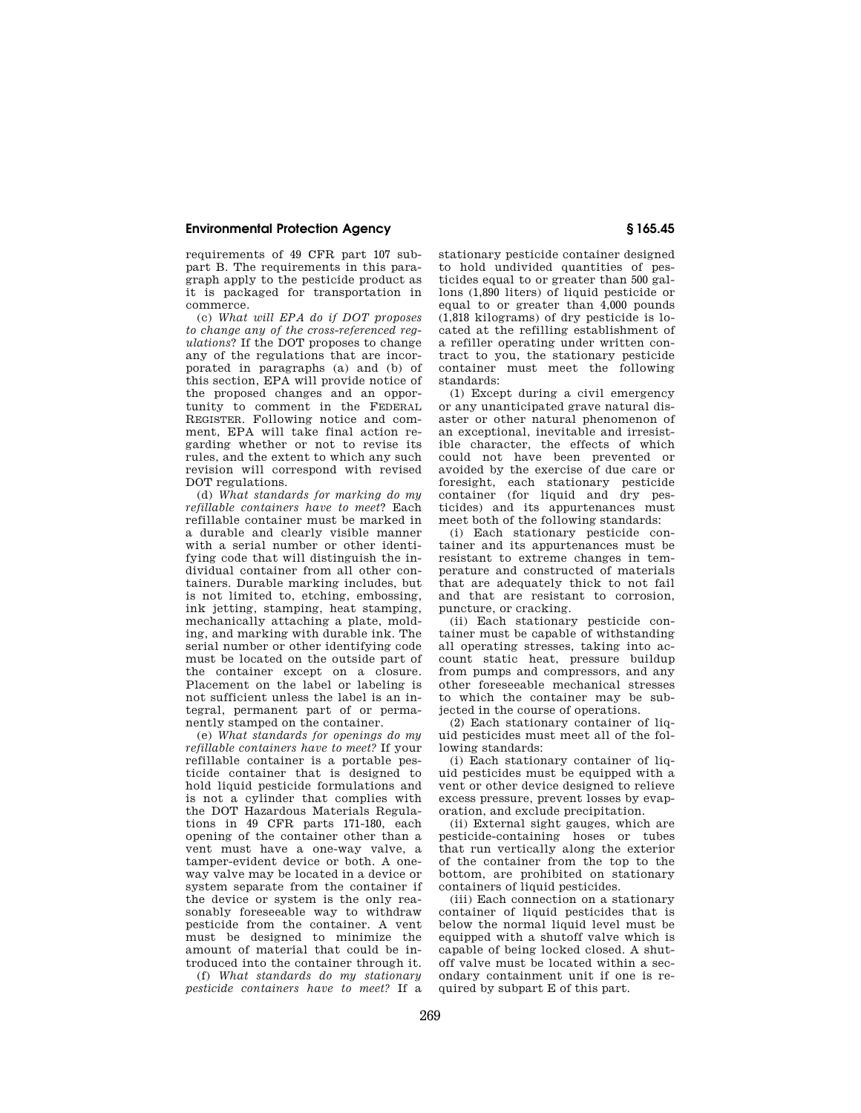## **Environmental Protection Agency § 165.45**

requirements of 49 CFR part 107 subpart B. The requirements in this paragraph apply to the pesticide product as it is packaged for transportation in commerce.

(c) *What will EPA do if DOT proposes to change any of the cross-referenced regulations*? If the DOT proposes to change any of the regulations that are incorporated in paragraphs (a) and (b) of this section, EPA will provide notice of the proposed changes and an opportunity to comment in the FEDERAL REGISTER. Following notice and comment, EPA will take final action regarding whether or not to revise its rules, and the extent to which any such revision will correspond with revised DOT regulations.

(d) *What standards for marking do my refillable containers have to meet*? Each refillable container must be marked in a durable and clearly visible manner with a serial number or other identifying code that will distinguish the individual container from all other containers. Durable marking includes, but is not limited to, etching, embossing, ink jetting, stamping, heat stamping, mechanically attaching a plate, molding, and marking with durable ink. The serial number or other identifying code must be located on the outside part of the container except on a closure. Placement on the label or labeling is not sufficient unless the label is an integral, permanent part of or permanently stamped on the container.

(e) *What standards for openings do my refillable containers have to meet?* If your refillable container is a portable pesticide container that is designed to hold liquid pesticide formulations and is not a cylinder that complies with the DOT Hazardous Materials Regulations in 49 CFR parts 171-180, each opening of the container other than a vent must have a one-way valve, a tamper-evident device or both. A oneway valve may be located in a device or system separate from the container if the device or system is the only reasonably foreseeable way to withdraw pesticide from the container. A vent must be designed to minimize the amount of material that could be introduced into the container through it.

(f) *What standards do my stationary pesticide containers have to meet?* If a stationary pesticide container designed to hold undivided quantities of pesticides equal to or greater than 500 gallons (1,890 liters) of liquid pesticide or equal to or greater than 4,000 pounds (1,818 kilograms) of dry pesticide is located at the refilling establishment of a refiller operating under written contract to you, the stationary pesticide container must meet the following standards:

(1) Except during a civil emergency or any unanticipated grave natural disaster or other natural phenomenon of an exceptional, inevitable and irresistible character, the effects of which could not have been prevented or avoided by the exercise of due care or foresight, each stationary pesticide container (for liquid and dry pesticides) and its appurtenances must meet both of the following standards:

(i) Each stationary pesticide container and its appurtenances must be resistant to extreme changes in temperature and constructed of materials that are adequately thick to not fail and that are resistant to corrosion, puncture, or cracking.

(ii) Each stationary pesticide container must be capable of withstanding all operating stresses, taking into account static heat, pressure buildup from pumps and compressors, and any other foreseeable mechanical stresses to which the container may be subjected in the course of operations.

(2) Each stationary container of liquid pesticides must meet all of the following standards:

(i) Each stationary container of liquid pesticides must be equipped with a vent or other device designed to relieve excess pressure, prevent losses by evaporation, and exclude precipitation.

(ii) External sight gauges, which are pesticide-containing hoses or tubes that run vertically along the exterior of the container from the top to the bottom, are prohibited on stationary containers of liquid pesticides.

(iii) Each connection on a stationary container of liquid pesticides that is below the normal liquid level must be equipped with a shutoff valve which is capable of being locked closed. A shutoff valve must be located within a secondary containment unit if one is required by subpart E of this part.